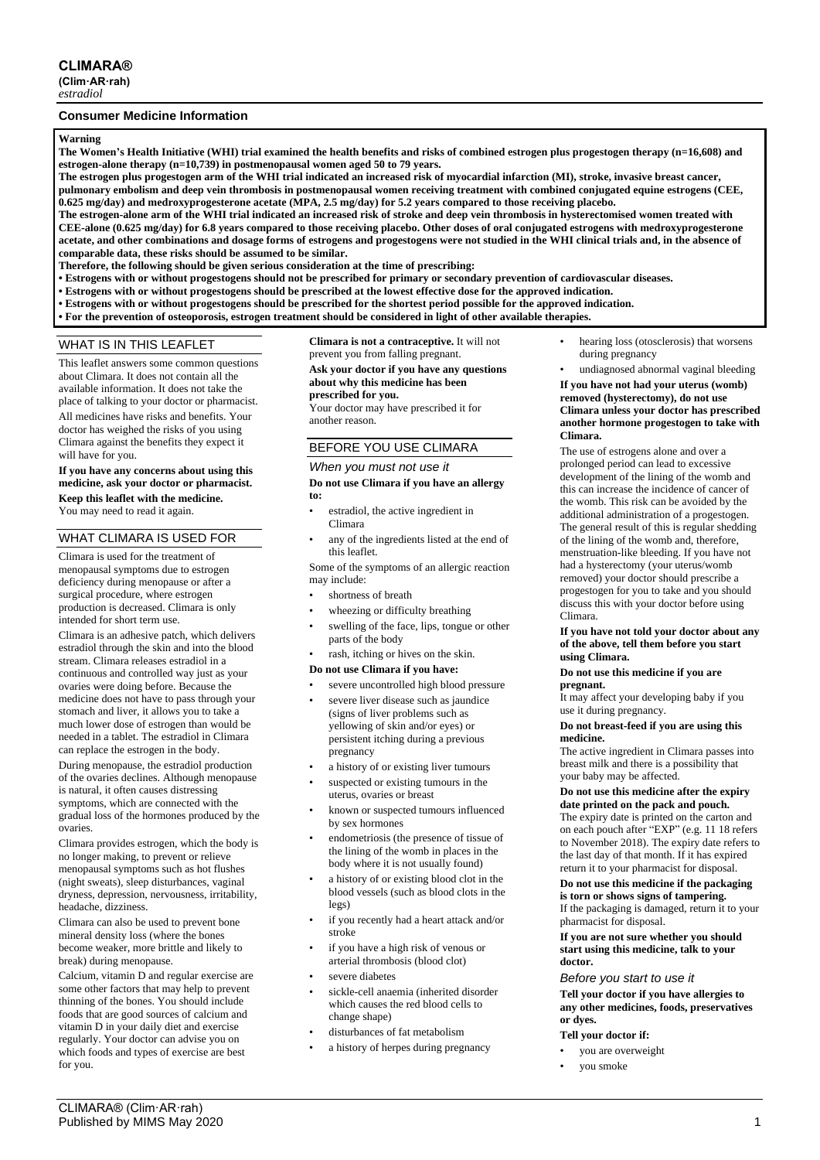# **CLIMARA®**

**(Clim·AR·rah)** *estradiol*

## **Consumer Medicine Information**

### **Warning**

**The Women's Health Initiative (WHI) trial examined the health benefits and risks of combined estrogen plus progestogen therapy (n=16,608) and estrogen-alone therapy (n=10,739) in postmenopausal women aged 50 to 79 years.**

**The estrogen plus progestogen arm of the WHI trial indicated an increased risk of myocardial infarction (MI), stroke, invasive breast cancer, pulmonary embolism and deep vein thrombosis in postmenopausal women receiving treatment with combined conjugated equine estrogens (CEE, 0.625 mg/day) and medroxyprogesterone acetate (MPA, 2.5 mg/day) for 5.2 years compared to those receiving placebo.**

**The estrogen-alone arm of the WHI trial indicated an increased risk of stroke and deep vein thrombosis in hysterectomised women treated with CEE-alone (0.625 mg/day) for 6.8 years compared to those receiving placebo. Other doses of oral conjugated estrogens with medroxyprogesterone acetate, and other combinations and dosage forms of estrogens and progestogens were not studied in the WHI clinical trials and, in the absence of comparable data, these risks should be assumed to be similar.**

**Therefore, the following should be given serious consideration at the time of prescribing:**

**• Estrogens with or without progestogens should not be prescribed for primary or secondary prevention of cardiovascular diseases.**

- **• Estrogens with or without progestogens should be prescribed at the lowest effective dose for the approved indication.**
- **• Estrogens with or without progestogens should be prescribed for the shortest period possible for the approved indication.**
- **• For the prevention of osteoporosis, estrogen treatment should be considered in light of other available therapies.**

## WHAT IS IN THIS LEAFLET

This leaflet answers some common questions about Climara. It does not contain all the available information. It does not take the place of talking to your doctor or pharmacist. All medicines have risks and benefits. Your doctor has weighed the risks of you using Climara against the benefits they expect it will have for you.

#### **If you have any concerns about using this medicine, ask your doctor or pharmacist. Keep this leaflet with the medicine.** You may need to read it again.

# WHAT CLIMARA IS USED FOR

Climara is used for the treatment of menopausal symptoms due to estrogen deficiency during menopause or after a surgical procedure, where estrogen production is decreased. Climara is only intended for short term use.

Climara is an adhesive patch, which delivers estradiol through the skin and into the blood stream. Climara releases estradiol in a continuous and controlled way just as your ovaries were doing before. Because the medicine does not have to pass through your stomach and liver, it allows you to take a much lower dose of estrogen than would be needed in a tablet. The estradiol in Climara can replace the estrogen in the body.

During menopause, the estradiol production of the ovaries declines. Although menopause is natural, it often causes distressing symptoms, which are connected with the gradual loss of the hormones produced by the ovaries.

Climara provides estrogen, which the body is no longer making, to prevent or relieve menopausal symptoms such as hot flushes (night sweats), sleep disturbances, vaginal dryness, depression, nervousness, irritability, headache, dizziness.

Climara can also be used to prevent bone mineral density loss (where the bones become weaker, more brittle and likely to break) during menopause.

Calcium, vitamin D and regular exercise are some other factors that may help to prevent thinning of the bones. You should include foods that are good sources of calcium and vitamin D in your daily diet and exercise regularly. Your doctor can advise you on which foods and types of exercise are best for you.

**Climara is not a contraceptive.** It will not prevent you from falling pregnant. **Ask your doctor if you have any questions** 

**about why this medicine has been prescribed for you.** Your doctor may have prescribed it for another reason.

# BEFORE YOU USE CLIMARA

# *When you must not use it*

**Do not use Climara if you have an allergy to:**

- estradiol, the active ingredient in Climara
- any of the ingredients listed at the end of this leaflet.

Some of the symptoms of an allergic reaction may include:

- shortness of breath
- wheezing or difficulty breathing
- swelling of the face, lips, tongue or other parts of the body

# rash, itching or hives on the skin.

- **Do not use Climara if you have:**
- severe uncontrolled high blood pressure
- severe liver disease such as jaundice (signs of liver problems such as yellowing of skin and/or eyes) or persistent itching during a previous pregnancy
- a history of or existing liver tumours
- suspected or existing tumours in the uterus, ovaries or breast
- known or suspected tumours influenced by sex hormones
- endometriosis (the presence of tissue of the lining of the womb in places in the body where it is not usually found)
- a history of or existing blood clot in the blood vessels (such as blood clots in the legs)
- if you recently had a heart attack and/or stroke
- if you have a high risk of venous or arterial thrombosis (blood clot)
- severe diabetes
- sickle-cell anaemia (inherited disorder which causes the red blood cells to change shape)
- disturbances of fat metabolism
- a history of herpes during pregnancy
- hearing loss (otosclerosis) that worsens during pregnancy
- undiagnosed abnormal vaginal bleeding

**If you have not had your uterus (womb) removed (hysterectomy), do not use Climara unless your doctor has prescribed another hormone progestogen to take with Climara.**

The use of estrogens alone and over a prolonged period can lead to excessive development of the lining of the womb and this can increase the incidence of cancer of the womb. This risk can be avoided by the additional administration of a progestogen. The general result of this is regular shedding of the lining of the womb and, therefore, menstruation-like bleeding. If you have not had a hysterectomy (your uterus/womb removed) your doctor should prescribe a progestogen for you to take and you should discuss this with your doctor before using Climara.

#### **If you have not told your doctor about any of the above, tell them before you start using Climara.**

#### **Do not use this medicine if you are pregnant.**

It may affect your developing baby if you use it during pregnancy.

#### **Do not breast-feed if you are using this medicine.**

The active ingredient in Climara passes into breast milk and there is a possibility that your baby may be affected.

#### **Do not use this medicine after the expiry date printed on the pack and pouch.**

The expiry date is printed on the carton and on each pouch after "EXP" (e.g. 11 18 refers to November 2018). The expiry date refers to the last day of that month. If it has expired return it to your pharmacist for disposal.

## **Do not use this medicine if the packaging**

**is torn or shows signs of tampering.** If the packaging is damaged, return it to your pharmacist for disposal.

**If you are not sure whether you should start using this medicine, talk to your doctor.**

### *Before you start to use it*

**Tell your doctor if you have allergies to any other medicines, foods, preservatives or dyes.**

#### **Tell your doctor if:**

- you are overweight
- you smoke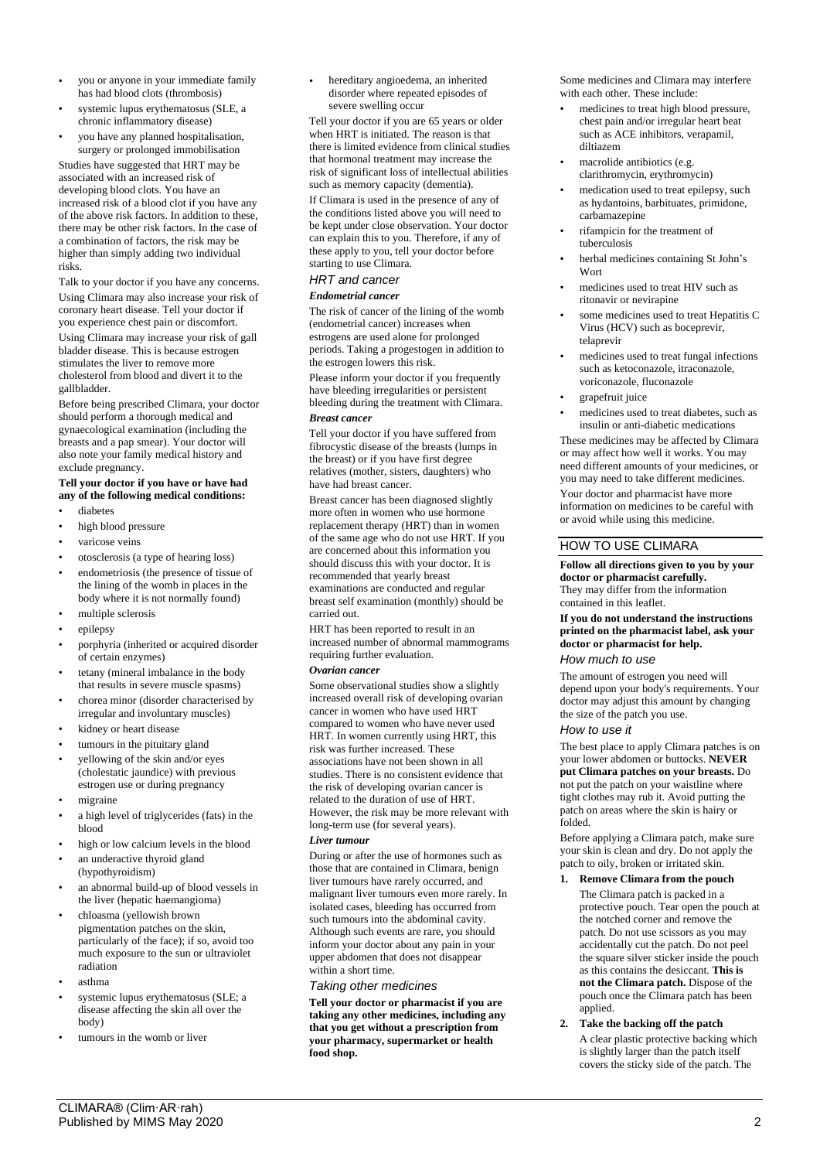- you or anyone in your immediate family has had blood clots (thrombosis)
- systemic lupus erythematosus (SLE, a chronic inflammatory disease)
- you have any planned hospitalisation, surgery or prolonged immobilisation

Studies have suggested that HRT may be associated with an increased risk of developing blood clots. You have an increased risk of a blood clot if you have any of the above risk factors. In addition to these, there may be other risk factors. In the case of a combination of factors, the risk may be higher than simply adding two individual risks.

Talk to your doctor if you have any concerns. Using Climara may also increase your risk of coronary heart disease. Tell your doctor if you experience chest pain or discomfort. Using Climara may increase your risk of gall bladder disease. This is because estrogen stimulates the liver to remove more cholesterol from blood and divert it to the gallbladder.

Before being prescribed Climara, your doctor should perform a thorough medical and gynaecological examination (including the breasts and a pap smear). Your doctor will also note your family medical history and exclude pregnancy.

# **Tell your doctor if you have or have had any of the following medical conditions:**

- diabetes
- high blood pressure
- varicose veins
- otosclerosis (a type of hearing loss)
- endometriosis (the presence of tissue of the lining of the womb in places in the body where it is not normally found)
- multiple sclerosis
- epilepsy
- porphyria (inherited or acquired disorder of certain enzymes)
- tetany (mineral imbalance in the body that results in severe muscle spasms)
- chorea minor (disorder characterised by irregular and involuntary muscles)
- kidney or heart disease
- tumours in the pituitary gland
- yellowing of the skin and/or eyes (cholestatic jaundice) with previous estrogen use or during pregnancy
- migraine
- a high level of triglycerides (fats) in the blood
- high or low calcium levels in the blood
- an underactive thyroid gland
- (hypothyroidism)
- an abnormal build-up of blood vessels in the liver (hepatic haemangioma)
- chloasma (yellowish brown pigmentation patches on the skin, particularly of the face); if so, avoid too much exposure to the sun or ultraviolet radiation
- asthma
- systemic lupus erythematosus (SLE; a disease affecting the skin all over the body)
- tumours in the womb or liver

• hereditary angioedema, an inherited disorder where repeated episodes of severe swelling occur

Tell your doctor if you are 65 years or older when HRT is initiated. The reason is that there is limited evidence from clinical studies that hormonal treatment may increase the risk of significant loss of intellectual abilities such as memory capacity (dementia).

If Climara is used in the presence of any of the conditions listed above you will need to be kept under close observation. Your doctor can explain this to you. Therefore, if any of these apply to you, tell your doctor before starting to use Climara.

## *HRT and cancer*

# *Endometrial cancer*

The risk of cancer of the lining of the womb (endometrial cancer) increases when estrogens are used alone for prolonged periods. Taking a progestogen in addition to the estrogen lowers this risk.

Please inform your doctor if you frequently have bleeding irregularities or persistent bleeding during the treatment with Climara.

# *Breast cancer*

Tell your doctor if you have suffered from fibrocystic disease of the breasts (lumps in the breast) or if you have first degree relatives (mother, sisters, daughters) who have had breast cancer.

Breast cancer has been diagnosed slightly more often in women who use hormone replacement therapy (HRT) than in women of the same age who do not use HRT. If you are concerned about this information you should discuss this with your doctor. It is recommended that yearly breast examinations are conducted and regular breast self examination (monthly) should be carried out.

HRT has been reported to result in an increased number of abnormal mammograms requiring further evaluation.

# *Ovarian cancer*

Some observational studies show a slightly increased overall risk of developing ovarian cancer in women who have used HRT compared to women who have never used HRT. In women currently using HRT, this risk was further increased. These associations have not been shown in all studies. There is no consistent evidence that the risk of developing ovarian cancer is related to the duration of use of HRT. However, the risk may be more relevant with long-term use (for several years).

# *Liver tumour*

During or after the use of hormones such as those that are contained in Climara, benign liver tumours have rarely occurred, and malignant liver tumours even more rarely. In isolated cases, bleeding has occurred from such tumours into the abdominal cavity. Although such events are rare, you should inform your doctor about any pain in your upper abdomen that does not disappear within a short time.

## *Taking other medicines*

**Tell your doctor or pharmacist if you are taking any other medicines, including any that you get without a prescription from your pharmacy, supermarket or health food shop.**

Some medicines and Climara may interfere with each other. These include:

- medicines to treat high blood pressure, chest pain and/or irregular heart beat such as ACE inhibitors, verapamil, diltiazem
- macrolide antibiotics (e.g. clarithromycin, erythromycin)
- medication used to treat epilepsy, such as hydantoins, barbituates, primidone, carbamazepine
- rifampicin for the treatment of tuberculosis
- herbal medicines containing St John's Wort
- medicines used to treat HIV such as ritonavir or nevirapine
- some medicines used to treat Hepatitis C Virus (HCV) such as boceprevir, telaprevir
- medicines used to treat fungal infections such as ketoconazole, itraconazole, voriconazole, fluconazole
- grapefruit juice
- medicines used to treat diabetes, such as insulin or anti-diabetic medications

These medicines may be affected by Climara or may affect how well it works. You may need different amounts of your medicines, or you may need to take different medicines. Your doctor and pharmacist have more information on medicines to be careful with or avoid while using this medicine.

# HOW TO USE CLIMARA

**Follow all directions given to you by your doctor or pharmacist carefully.** They may differ from the information contained in this leaflet.

## **If you do not understand the instructions printed on the pharmacist label, ask your doctor or pharmacist for help.**

## *How much to use*

The amount of estrogen you need will depend upon your body's requirements. Your doctor may adjust this amount by changing the size of the patch you use.

### *How to use it*

The best place to apply Climara patches is on your lower abdomen or buttocks. **NEVER put Climara patches on your breasts.** Do not put the patch on your waistline where tight clothes may rub it. Avoid putting the patch on areas where the skin is hairy or folded.

Before applying a Climara patch, make sure your skin is clean and dry. Do not apply the patch to oily, broken or irritated skin.

## **1. Remove Climara from the pouch**

The Climara patch is packed in a protective pouch. Tear open the pouch at the notched corner and remove the patch. Do not use scissors as you may accidentally cut the patch. Do not peel the square silver sticker inside the pouch as this contains the desiccant. **This is not the Climara patch.** Dispose of the pouch once the Climara patch has been applied.

**2. Take the backing off the patch** A clear plastic protective backing which is slightly larger than the patch itself covers the sticky side of the patch. The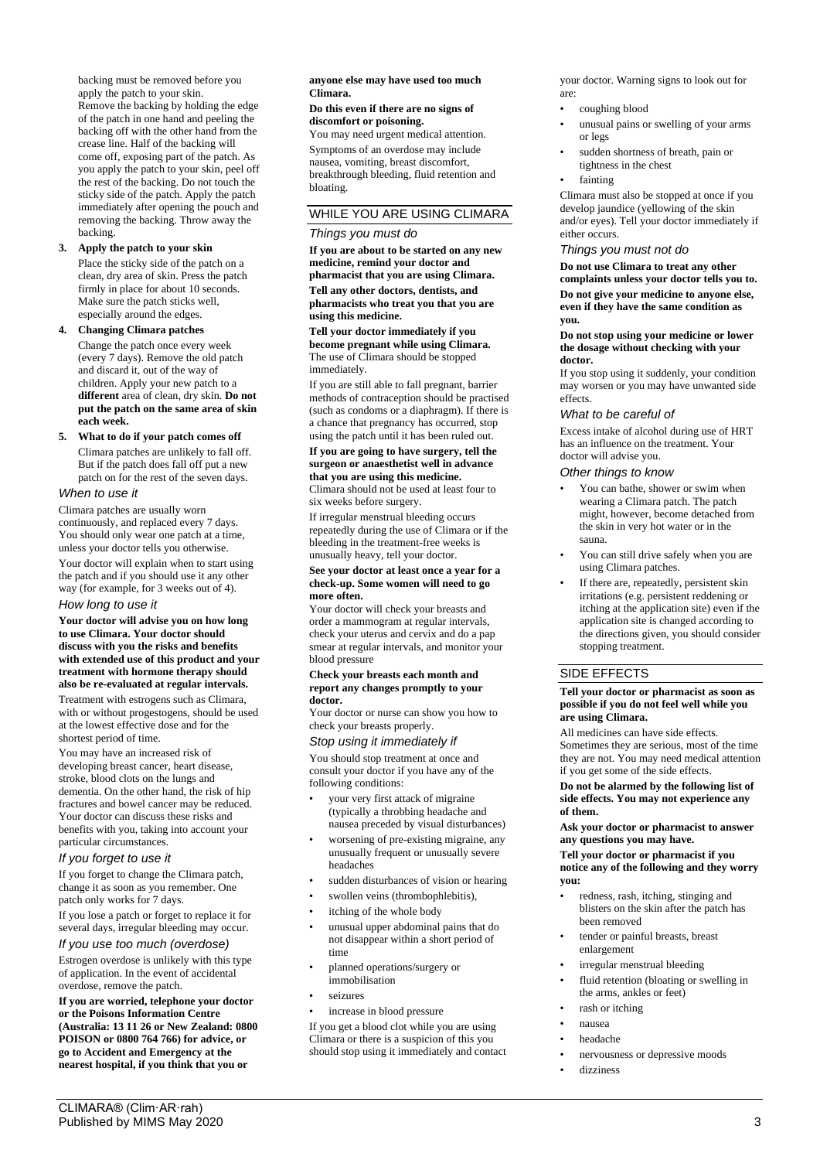backing must be removed before you apply the patch to your skin. Remove the backing by holding the edge of the patch in one hand and peeling the backing off with the other hand from the crease line. Half of the backing will come off, exposing part of the patch. As you apply the patch to your skin, peel off the rest of the backing. Do not touch the sticky side of the patch. Apply the patch immediately after opening the pouch and removing the backing. Throw away the backing.

# **3. Apply the patch to your skin**

Place the sticky side of the patch on a clean, dry area of skin. Press the patch firmly in place for about 10 seconds. Make sure the patch sticks well, especially around the edges.

## **4. Changing Climara patches** Change the patch once every week

(every 7 days). Remove the old patch and discard it, out of the way of children. Apply your new patch to a **different** area of clean, dry skin. **Do not put the patch on the same area of skin each week.**

## **5. What to do if your patch comes off**

Climara patches are unlikely to fall off. But if the patch does fall off put a new patch on for the rest of the seven days.

## *When to use it*

Climara patches are usually worn continuously, and replaced every 7 days. You should only wear one patch at a time, unless your doctor tells you otherwise.

Your doctor will explain when to start using the patch and if you should use it any other way (for example, for 3 weeks out of 4).

### *How long to use it*

**Your doctor will advise you on how long to use Climara. Your doctor should discuss with you the risks and benefits with extended use of this product and your treatment with hormone therapy should also be re-evaluated at regular intervals.**

Treatment with estrogens such as Climara, with or without progestogens, should be used at the lowest effective dose and for the shortest period of time.

You may have an increased risk of developing breast cancer, heart disease, stroke, blood clots on the lungs and dementia. On the other hand, the risk of hip fractures and bowel cancer may be reduced. Your doctor can discuss these risks and benefits with you, taking into account your particular circumstances.

## *If you forget to use it*

If you forget to change the Climara patch, change it as soon as you remember. One patch only works for 7 days.

If you lose a patch or forget to replace it for several days, irregular bleeding may occur.

# *If you use too much (overdose)*

Estrogen overdose is unlikely with this type of application. In the event of accidental overdose, remove the patch.

**If you are worried, telephone your doctor or the Poisons Information Centre (Australia: 13 11 26 or New Zealand: 0800 POISON or 0800 764 766) for advice, or go to Accident and Emergency at the nearest hospital, if you think that you or** 

## **anyone else may have used too much Climara.**

#### **Do this even if there are no signs of discomfort or poisoning.**

You may need urgent medical attention. Symptoms of an overdose may include nausea, vomiting, breast discomfort, breakthrough bleeding, fluid retention and bloating.

# WHILE YOU ARE USING CLIMARA

### *Things you must do*

**If you are about to be started on any new medicine, remind your doctor and pharmacist that you are using Climara. Tell any other doctors, dentists, and pharmacists who treat you that you are using this medicine.**

#### **Tell your doctor immediately if you become pregnant while using Climara.** The use of Climara should be stopped immediately.

If you are still able to fall pregnant, barrier methods of contraception should be practised (such as condoms or a diaphragm). If there is a chance that pregnancy has occurred, stop using the patch until it has been ruled out.

#### **If you are going to have surgery, tell the surgeon or anaesthetist well in advance that you are using this medicine.** Climara should not be used at least four to

six weeks before surgery.

If irregular menstrual bleeding occurs repeatedly during the use of Climara or if the bleeding in the treatment-free weeks is unusually heavy, tell your doctor.

### **See your doctor at least once a year for a check-up. Some women will need to go more often.**

Your doctor will check your breasts and order a mammogram at regular intervals, check your uterus and cervix and do a pap smear at regular intervals, and monitor your blood pressure

#### **Check your breasts each month and report any changes promptly to your doctor.**

Your doctor or nurse can show you how to check your breasts properly.

## *Stop using it immediately if*

You should stop treatment at once and consult your doctor if you have any of the following conditions:

- your very first attack of migraine (typically a throbbing headache and nausea preceded by visual disturbances)
- worsening of pre-existing migraine, any unusually frequent or unusually severe headaches
- sudden disturbances of vision or hearing
- swollen veins (thrombophlebitis),
- itching of the whole body
- unusual upper abdominal pains that do not disappear within a short period of time
- planned operations/surgery or immobilisation
- seizures
- increase in blood pressure

If you get a blood clot while you are using Climara or there is a suspicion of this you should stop using it immediately and contact your doctor. Warning signs to look out for are:

- coughing blood
- unusual pains or swelling of your arms or legs
- sudden shortness of breath, pain or tightness in the chest
- fainting

Climara must also be stopped at once if you develop jaundice (yellowing of the skin and/or eyes). Tell your doctor immediately if either occurs.

## *Things you must not do*

**Do not use Climara to treat any other complaints unless your doctor tells you to. Do not give your medicine to anyone else, even if they have the same condition as you.**

#### **Do not stop using your medicine or lower the dosage without checking with your doctor.**

If you stop using it suddenly, your condition may worsen or you may have unwanted side effects.

## *What to be careful of*

Excess intake of alcohol during use of HRT has an influence on the treatment. Your doctor will advise you.

## *Other things to know*

- You can bathe, shower or swim when wearing a Climara patch. The patch might, however, become detached from the skin in very hot water or in the sauna.
- You can still drive safely when you are using Climara patches.
- If there are, repeatedly, persistent skin irritations (e.g. persistent reddening or itching at the application site) even if the application site is changed according to the directions given, you should consider stopping treatment.

# SIDE EFFECTS

#### **Tell your doctor or pharmacist as soon as possible if you do not feel well while you are using Climara.**

All medicines can have side effects. Sometimes they are serious, most of the time they are not. You may need medical attention if you get some of the side effects.

#### **Do not be alarmed by the following list of side effects. You may not experience any of them.**

**Ask your doctor or pharmacist to answer any questions you may have.**

**Tell your doctor or pharmacist if you notice any of the following and they worry you:**

- redness, rash, itching, stinging and blisters on the skin after the patch has been removed
- tender or painful breasts, breast enlargement
- irregular menstrual bleeding
- fluid retention (bloating or swelling in the arms, ankles or feet)
- rash or itching
- nausea
- headache
- nervousness or depressive moods
- dizziness